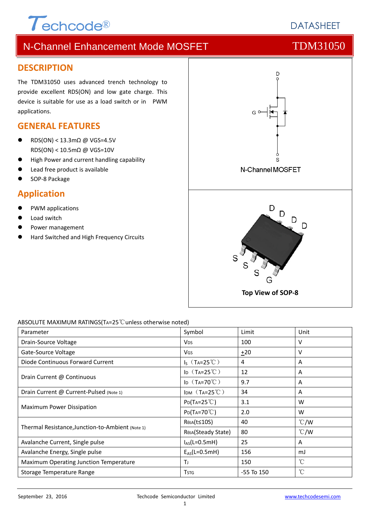# $\tau$ echcode®

# N-Channel Enhancement Mode MOSFET TOM31050

### **DESCRIPTION**

The TDM31050 uses advanced trench technology to provide excellent RDS(ON) and low gate charge. This device is suitable for use as a load switch or in PWM applications.

## **GENERAL FEATURES**

- RDS(ON) < 13.3mΩ @ VGS=4.5V RDS(ON) < 10.5mΩ @ VGS=10V
- High Power and current handling capability
- Lead free product is available
- SOP‐8 Package

### **Application**

- PWM applications
- Load switch
- Power management
- Hard Switched and High Frequency Circuits



#### ABSOLUTE MAXIMUM RATINGS(TA=25℃unless otherwise noted)

| Parameter                                        | Symbol                        | Limit          | Unit          |
|--------------------------------------------------|-------------------------------|----------------|---------------|
| Drain-Source Voltage                             | <b>V<sub>DS</sub></b>         | 100            | v             |
| Gate-Source Voltage                              | VGS                           | ±20            | v             |
| Diode Continuous Forward Current                 | $I_S$ (T <sub>A</sub> =25°C)  | 4              | A             |
| Drain Current @ Continuous                       | ID $(T_A=25^{\circ}\text{C})$ | 12             | A             |
|                                                  | ID $(T_A=70^{\circ}C)$        | 9.7            | A             |
| Drain Current @ Current-Pulsed (Note 1)          | IDM $(T_A=25^{\circ}C)$       | 34             | A             |
| Maximum Power Dissipation                        | $P_{D}(T_{A}=25^{\circ}C)$    | 3.1            | W             |
|                                                  | $P_{D}(Ta=70^{\circ}C)$       | 2.0            | W             |
| Thermal Resistance, Junction-to-Ambient (Note 1) | RejA(t≤10S)                   | 40             | $\degree$ C/W |
|                                                  | ROJA(Steady State)            | 80             | $\degree$ C/W |
| Avalanche Current, Single pulse                  | $I_{AS}(L=0.5mH)$             | 25             | A             |
| Avalanche Energy, Single pulse                   | $E_{AS}(L=0.5mH)$             | 156            | mJ            |
| Maximum Operating Junction Temperature           | T                             | 150            | $^{\circ}$ C  |
| Storage Temperature Range                        | <b>T</b> stg                  | $-55$ To $150$ | °C            |

# **DATASHEET**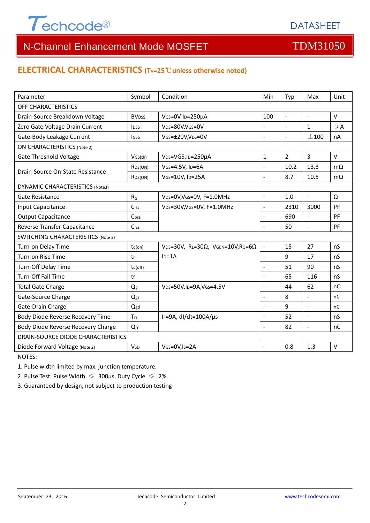

#### **ELECTRICAL CHARACTERISTICS (TA=25**℃**unless otherwise noted)**

| Parameter                                 | Symbol                   | Condition                                                     | Min                      | Typ            | Max                      | Unit      |  |  |
|-------------------------------------------|--------------------------|---------------------------------------------------------------|--------------------------|----------------|--------------------------|-----------|--|--|
| OFF CHARACTERISTICS                       |                          |                                                               |                          |                |                          |           |  |  |
| Drain-Source Breakdown Voltage            | <b>BV</b> <sub>DSS</sub> | VGS=0V ID=250µA                                               | 100                      | $\mathbb{L}$   | $\sim$                   | $\vee$    |  |  |
| Zero Gate Voltage Drain Current           | <b>l</b> <sub>DSS</sub>  | VDS=80V,VGS=0V                                                | $\overline{a}$           | $\blacksquare$ | 1                        | $\mu$ A   |  |  |
| Gate-Body Leakage Current                 | <b>I</b> GSS             | VGS=±20V,VDS=0V                                               | $\overline{a}$           | $\blacksquare$ | ±100                     | nA        |  |  |
| <b>ON CHARACTERISTICS (Note 2)</b>        |                          |                                                               |                          |                |                          |           |  |  |
| <b>Gate Threshold Voltage</b>             | VGS(th)                  | V <sub>DS</sub> =VGS, I <sub>D</sub> =250µA                   | $\mathbf{1}$             | $\overline{2}$ | $\overline{3}$           | $\vee$    |  |  |
| Drain-Source On-State Resistance          | R <sub>DS</sub> (ON)     | VGS=4.5V, ID=6A                                               |                          | 10.2           | 13.3                     | $m\Omega$ |  |  |
|                                           | R <sub>DS</sub> (ON)     | VGS=10V, ID=25A                                               | $\overline{\phantom{a}}$ | 8.7            | 10.5                     | $m\Omega$ |  |  |
| <b>DYNAMIC CHARACTERISTICS (Note3)</b>    |                          |                                                               |                          |                |                          |           |  |  |
| Gate Resistance                           | $R_G$                    | VDS=0V, VGS=0V, F=1.0MHz                                      | $\blacksquare$           | 1.0            | $\blacksquare$           | Ω         |  |  |
| Input Capacitance                         | Ciss                     | VDS=30V, VGS=0V, F=1.0MHz                                     | $\overline{a}$           | 2310           | 3000                     | PF        |  |  |
| <b>Output Capacitance</b>                 | Coss                     |                                                               |                          | 690            | $\blacksquare$           | PF        |  |  |
| Reverse Transfer Capacitance              | Crss                     |                                                               | L.                       | 50             | $\blacksquare$           | PF        |  |  |
| <b>SWITCHING CHARACTERISTICS (Note 3)</b> |                          |                                                               |                          |                |                          |           |  |  |
| Turn-on Delay Time                        | td(on)                   | VDS=30V, RL=30 $\Omega$ , VGEN=10V, RG=6 $\Omega$             | $\bar{\phantom{a}}$      | 15             | 27                       | nS        |  |  |
| Turn-on Rise Time                         | tr                       | $ID=1A$                                                       | $\overline{\phantom{a}}$ | 9              | 17                       | nS        |  |  |
| Turn-Off Delay Time                       | td(off)                  |                                                               | $\overline{\phantom{a}}$ | 51             | 90                       | nS        |  |  |
| <b>Turn-Off Fall Time</b>                 | tf                       |                                                               |                          | 65             | 116                      | nS        |  |  |
| <b>Total Gate Charge</b>                  | $Q_g$                    | V <sub>DS</sub> =50V,I <sub>D</sub> =9A,V <sub>GS</sub> =4.5V | $\overline{a}$           | 44             | 62                       | nC        |  |  |
| Gate-Source Charge                        | Qgs                      |                                                               | $\sim$                   | 8              | $\blacksquare$           | nC        |  |  |
| Gate-Drain Charge                         | Qgd                      |                                                               |                          | 9              | $\overline{\phantom{a}}$ | nC        |  |  |
| Body Diode Reverse Recovery Time          | Trr                      | IF=9A, dl/dt=100A/µs                                          | $\overline{\phantom{a}}$ | 52             | ÷,                       | nS        |  |  |
| Body Diode Reverse Recovery Charge        | Qrr                      |                                                               |                          | 82             | $\blacksquare$           | nC        |  |  |
| <b>DRAIN-SOURCE DIODE CHARACTERISTICS</b> |                          |                                                               |                          |                |                          |           |  |  |
| Diode Forward Voltage (Note 2)            | <b>V<sub>SD</sub></b>    | VGS=0V, Is=2A                                                 |                          | 0.8            | 1.3                      | $\vee$    |  |  |

NOTES:

1. Pulse width limited by max. junction temperature.

2. Pulse Test: Pulse Width  $\leq 300$ μs, Duty Cycle  $\leq 2\%$ .

3. Guaranteed by design, not subject to production testing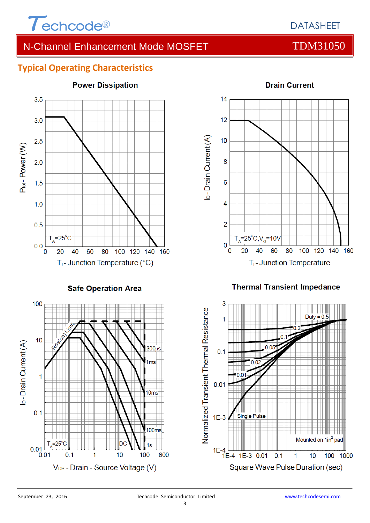

### **Typical Operating Characteristics**



#### **Power Dissipation**



#### **Thermal Transient Impedance**

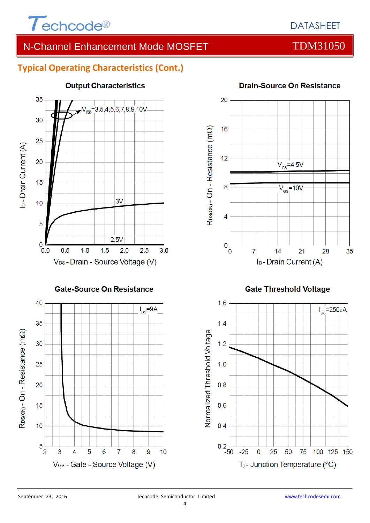

### **Typical Operating Characteristics (Cont.)**



#### **Output Characteristics**





**Drain-Source On Resistance** 



#### **Gate Threshold Voltage**

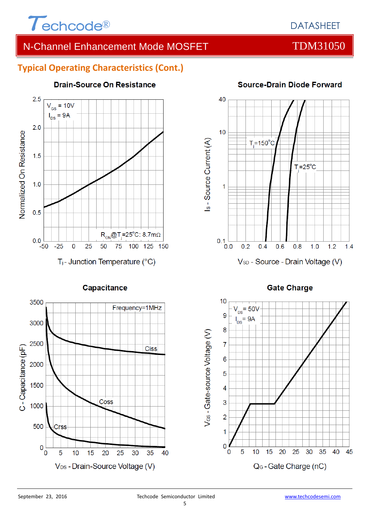

#### **Typical Operating Characteristics (Cont.)**



Capacitance

#### **Drain-Source On Resistance**



#### **Source-Drain Diode Forward**



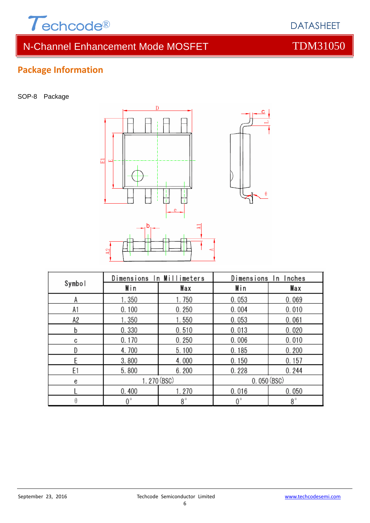

# **Package Information**

SOP-8 Package



| Symbol | Dimensions In Millimeters |           | Dimensions In Inches |           |  |
|--------|---------------------------|-----------|----------------------|-----------|--|
|        | Min                       | Max       | Min                  | Max       |  |
| А      | 1.350                     | 1.750     | 0.053                | 0.069     |  |
| A1     | 0.100                     | 0.250     | 0.004                | 0.010     |  |
| A2     | 1.350                     | 1.550     | 0.053                | 0.061     |  |
| b      | 0.330                     | 0.510     | 0.013                | 0.020     |  |
| C      | 0.170                     | 0.250     | 0.006                | 0.010     |  |
|        | 4.700                     | 5.100     | 0.185                | 0.200     |  |
|        | 3.800                     | 4.000     | 0.150                | 0.157     |  |
| E1     | 5.800                     | 6.200     | 0.228                | 0.244     |  |
| e      | 1.270 (BSC)               |           | 0.050(BSC)           |           |  |
|        | 0.400                     | 1.270     | 0.016                | 0.050     |  |
|        | 0°                        | $8^\circ$ | $0^{\circ}$          | $8^\circ$ |  |

DATASHEET

6